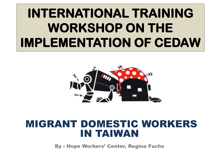# **INTERNATIONAL TRAINING WORKSHOP ON THE IMPLEMENTATION OF CEDAW**



## MIGRANT DOMESTIC WORKERS IN TAIWAN

By : Hope Workers' Center, Regina Fuchs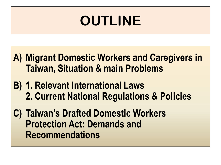# **OUTLINE**

- **A) Migrant Domestic Workers and Caregivers in Taiwan, Situation & main Problems**
- **B) 1. Relevant International Laws 2. Current National Regulations & Policies**
- **C) Taiwan's Drafted Domestic Workers Protection Act: Demands and Recommendations**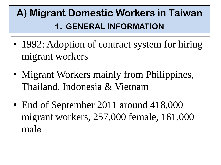## **A) Migrant Domestic Workers in Taiwan 1. GENERAL INFORMATION**

- 1992: Adoption of contract system for hiring migrant workers
- Migrant Workers mainly from Philippines, Thailand, Indonesia & Vietnam
- End of September 2011 around 418,000 migrant workers, 257,000 female, 161,000 male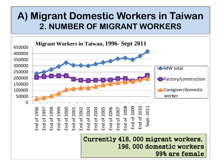## **A) Migrant Domestic Workers in Taiwan 2. NUMBER OF MIGRANT WORKERS**

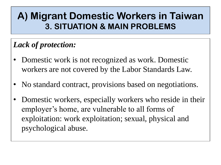### *Lack of protection:*

- Domestic work is not recognized as work. Domestic workers are not covered by the Labor Standards Law.
- No standard contract, provisions based on negotiations.
- Domestic workers, especially workers who reside in their employer's home, are vulnerable to all forms of exploitation: work exploitation; sexual, physical and psychological abuse.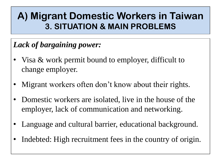### *Lack of bargaining power:*

- Visa & work permit bound to employer, difficult to change employer.
- Migrant workers often don't know about their rights.
- Domestic workers are isolated, live in the house of the employer, lack of communication and networking.
- Language and cultural barrier, educational background.
- Indebted: High recruitment fees in the country of origin.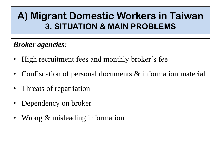#### *Broker agencies:*

- High recruitment fees and monthly broker's fee
- Confiscation of personal documents & information material
- Threats of repatriation
- Dependency on broker
- Wrong & misleading information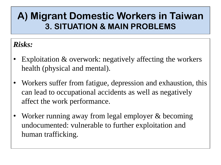### *Risks:*

- Exploitation  $\&$  overwork: negatively affecting the workers health (physical and mental).
- Workers suffer from fatigue, depression and exhaustion, this can lead to occupational accidents as well as negatively affect the work performance.
- Worker running away from legal employer & becoming undocumented: vulnerable to further exploitation and human trafficking.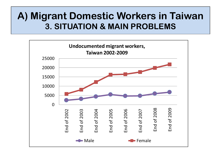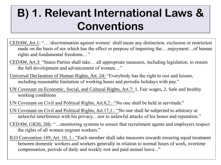## **B) 1. Relevant International Laws & Conventions**

- CEDAW, Art.1: "…`discrimination against women` shall mean any distinction, exclusion or restriction made on the basis of sex which has the effect or purpose of impairing the….enjoyment…of human rights and fundamental freedoms…"
- CEDAW, Art.3: "States Parties shall take… all appropriate measures, including legislation, to ensure the full development and advancement of women…"
- Universal Declaration of Human Rights, Art. 24: "Everybody has the right to rest and leisure, including reasonable limitation of working hours and periodic holidays with pay."
- UN Covenant on Economic, Social, and Cultural Rights, Art.7: 1. Fair wages, 2. Safe and healthy working conditions
- UN Covenant on Civil and Political Rights, Art.8,2.: "No one shall be held in servitude."
- UN Covenant on Civil and Political Rights, Art.17,1.: "No one shall be subjected to arbitrary or unlawful interference with his privacy…nor to unlawful attacks of his honor and reputation."
- CEDAW, GR26, 26h: "…monitoring systems to ensure that recruitment agents and employers respect the rights of all women migrant workers."
- ILO Convention 189, Art. 10, 1.: "Each member shall take measures towards ensuring equal treatment between domestic workers and workers generally in relation to normal hours of work, overtime compensation, periods of daily and weekly rest and paid annual leave..."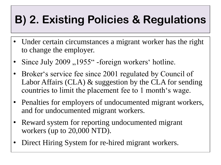## **B) 2. Existing Policies & Regulations**

- Under certain circumstances a migrant worker has the right to change the employer.
- Since July 2009, 1955" -foreign workers' hotline.
- Broker's service fee since 2001 regulated by Council of Labor Affairs (CLA) & suggestion by the CLA for sending countries to limit the placement fee to 1 month"s wage.
- Penalties for employers of undocumented migrant workers, and for undocumented migrant workers.
- Reward system for reporting undocumented migrant workers (up to 20,000 NTD).
- Direct Hiring System for re-hired migrant workers.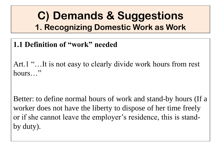### **1.1 Definition of "work" needed**

Art.1 "...It is not easy to clearly divide work hours from rest hours…"

Better: to define normal hours of work and stand-by hours (If a worker does not have the liberty to dispose of her time freely or if she cannot leave the employer's residence, this is standby duty).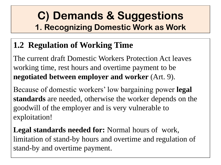## **1.2 Regulation of Working Time**

The current draft Domestic Workers Protection Act leaves working time, rest hours and overtime payment to be **negotiated between employer and worker** (Art. 9).

Because of domestic workers" low bargaining power **legal standards** are needed, otherwise the worker depends on the goodwill of the employer and is very vulnerable to exploitation!

**Legal standards needed for:** Normal hours of work, limitation of stand-by hours and overtime and regulation of stand-by and overtime payment.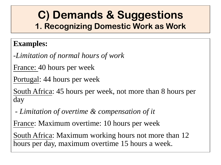### **Examples:**

-*Limitation of normal hours of work*

France: 40 hours per week

Portugal: 44 hours per week

South Africa: 45 hours per week, not more than 8 hours per day

*- Limitation of overtime & compensation of it*

France: Maximum overtime: 10 hours per week

South Africa: Maximum working hours not more than 12 hours per day, maximum overtime 15 hours a week.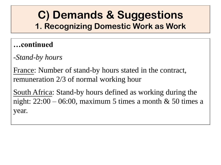**…continued**

-*Stand-by hours*

France: Number of stand-by hours stated in the contract, remuneration 2/3 of normal working hour

South Africa: Stand-by hours defined as working during the night:  $22:00 - 06:00$ , maximum 5 times a month & 50 times a year.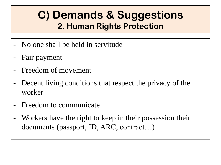## **C) Demands & Suggestions 2. Human Rights Protection**

- No one shall be held in servitude
- Fair payment
- Freedom of movement
- Decent living conditions that respect the privacy of the worker
- Freedom to communicate
- Workers have the right to keep in their possession their documents (passport, ID, ARC, contract…)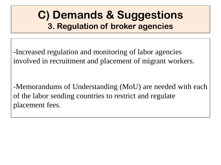## **C) Demands & Suggestions 3. Regulation of broker agencies**

-Increased regulation and monitoring of labor agencies involved in recruitment and placement of migrant workers.

-Memorandums of Understanding (MoU) are needed with each of the labor sending countries to restrict and regulate placement fees.